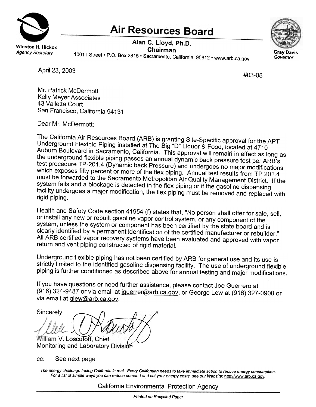

## **Air Resources Board**

Chairman<br>Agency Secretary 1001 I Street. P.O. Box 2815. Sacramento, California 95812. www.arb.ca.gov.ca.gov.ca.gov.ca.g Alan C. Lloyd, Ph.D.



April 23, 2003 **#03-08** 

Mr. Patrick McDermott Kelly Meyer Associates 43 Valletta Court San Francisco, California 94131

Dear Mr. McDermott:

The California Air Resources Board (ARB) is granting Site-Specific approval for the APT Underground Flexible Piping installed at The Big "0" Liquor & Food, located at 4710 Auburn Boulevard in Sacramento, California. This approval will remain in effect as long as the underground flexible piping passes an annual dynamic back pressure test per ARB's test procedure TP-201.4 (Dynamic back Pressure) and undergoes no major modifications which exposes fifty percent or more of the flex piping. Annual test results from TP 201.4 must be forwarded to the Sacramento Metropolitan Air Quality Management District. If the system fails and a blockage is detected in the flex piping or if the gasoline dispensing facility undergoes a major modification, the flex piping must be removed and replaced with rigid piping.

Health and Safety Code section 41954 (f) states that, "No person shall offer for sale, sell, or install any new or rebuilt gasoline vapor control system, or any component of the system, unless the system or component has been certified by the state board and is clearly identified by a permanent identification of the certified manufacturer or rebuilder." All ARB certified vapor recovery systems have been evaluated and approved with vapor return and vent piping constructed of rigid material.

Underground flexible piping has not been certified by ARB for general use and its use is strictly limited to the identified gasoline dispensing facility. The use of underground flexible piping is further conditioned as described above for annual testing and major modifications.

If you have questions or need further assistance, please contact Joe Guerrero at (916) 324-9487 or via email at jouerrer@arb.ca.gov, or George Lew at (916) 327-0900 or via email at glew@arb.ca.gov.

Sincerely, William V. Loscutoff, Chief Monitoring and Laboratory Division

cc: See next page

The energy challenge facing Califomia is real. Every Califomian needs to take immediate action to reduce energy consumption. For a list of simple ways you can reduce demand and cut your energy costs, see our Website: http://www.arb.ca.gov.

California Environmental Protection Agency